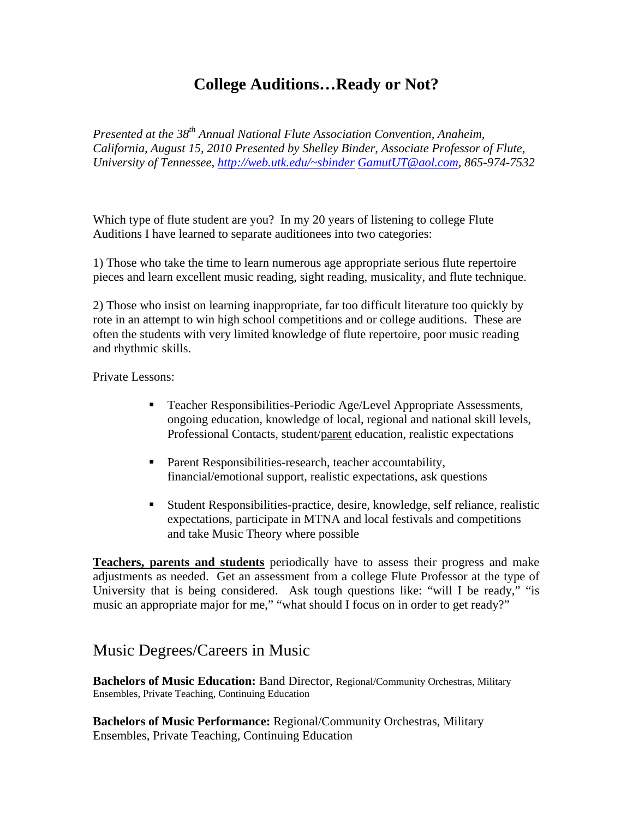## **College Auditions…Ready or Not?**

*Presented at the 38th Annual National Flute Association Convention, Anaheim, California, August 15, 2010 Presented by Shelley Binder, Associate Professor of Flute, University of Tennessee, http://web.utk.edu/~sbinder GamutUT@aol.com, 865-974-7532* 

Which type of flute student are you? In my 20 years of listening to college Flute Auditions I have learned to separate auditionees into two categories:

1) Those who take the time to learn numerous age appropriate serious flute repertoire pieces and learn excellent music reading, sight reading, musicality, and flute technique.

2) Those who insist on learning inappropriate, far too difficult literature too quickly by rote in an attempt to win high school competitions and or college auditions. These are often the students with very limited knowledge of flute repertoire, poor music reading and rhythmic skills.

Private Lessons:

- Teacher Responsibilities-Periodic Age/Level Appropriate Assessments, ongoing education, knowledge of local, regional and national skill levels, Professional Contacts, student/parent education, realistic expectations
- Parent Responsibilities-research, teacher accountability, financial/emotional support, realistic expectations, ask questions
- Student Responsibilities-practice, desire, knowledge, self reliance, realistic expectations, participate in MTNA and local festivals and competitions and take Music Theory where possible

**Teachers, parents and students** periodically have to assess their progress and make adjustments as needed. Get an assessment from a college Flute Professor at the type of University that is being considered. Ask tough questions like: "will I be ready," "is music an appropriate major for me," "what should I focus on in order to get ready?"

## Music Degrees/Careers in Music

**Bachelors of Music Education:** Band Director, Regional/Community Orchestras, Military Ensembles, Private Teaching, Continuing Education

**Bachelors of Music Performance:** Regional/Community Orchestras, Military Ensembles, Private Teaching, Continuing Education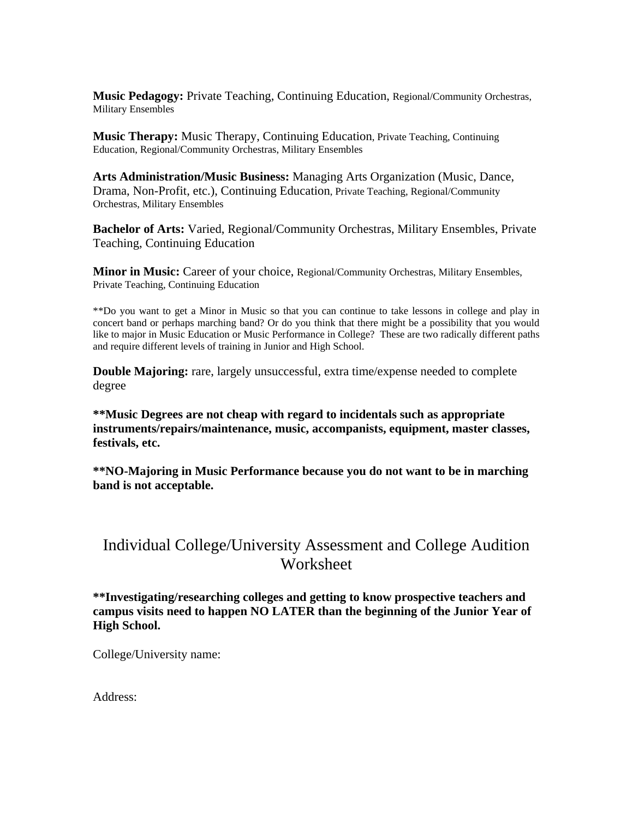**Music Pedagogy:** Private Teaching, Continuing Education, Regional/Community Orchestras, Military Ensembles

**Music Therapy:** Music Therapy, Continuing Education, Private Teaching, Continuing Education, Regional/Community Orchestras, Military Ensembles

**Arts Administration/Music Business:** Managing Arts Organization (Music, Dance, Drama, Non-Profit, etc.), Continuing Education, Private Teaching, Regional/Community Orchestras, Military Ensembles

**Bachelor of Arts:** Varied, Regional/Community Orchestras, Military Ensembles, Private Teaching, Continuing Education

**Minor in Music:** Career of your choice, Regional/Community Orchestras, Military Ensembles, Private Teaching, Continuing Education

\*\*Do you want to get a Minor in Music so that you can continue to take lessons in college and play in concert band or perhaps marching band? Or do you think that there might be a possibility that you would like to major in Music Education or Music Performance in College? These are two radically different paths and require different levels of training in Junior and High School.

**Double Majoring:** rare, largely unsuccessful, extra time/expense needed to complete degree

**\*\*Music Degrees are not cheap with regard to incidentals such as appropriate instruments/repairs/maintenance, music, accompanists, equipment, master classes, festivals, etc.** 

**\*\*NO-Majoring in Music Performance because you do not want to be in marching band is not acceptable.** 

## Individual College/University Assessment and College Audition Worksheet

**\*\*Investigating/researching colleges and getting to know prospective teachers and campus visits need to happen NO LATER than the beginning of the Junior Year of High School.** 

College/University name:

Address: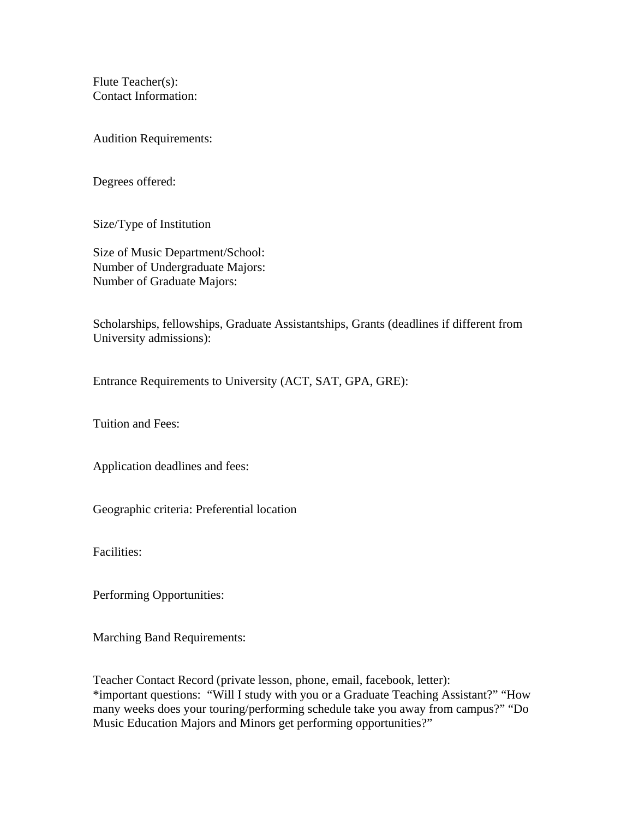Flute Teacher(s): Contact Information:

Audition Requirements:

Degrees offered:

Size/Type of Institution

Size of Music Department/School: Number of Undergraduate Majors: Number of Graduate Majors:

Scholarships, fellowships, Graduate Assistantships, Grants (deadlines if different from University admissions):

Entrance Requirements to University (ACT, SAT, GPA, GRE):

Tuition and Fees:

Application deadlines and fees:

Geographic criteria: Preferential location

Facilities:

Performing Opportunities:

Marching Band Requirements:

Teacher Contact Record (private lesson, phone, email, facebook, letter): \*important questions: "Will I study with you or a Graduate Teaching Assistant?" "How many weeks does your touring/performing schedule take you away from campus?" "Do Music Education Majors and Minors get performing opportunities?"